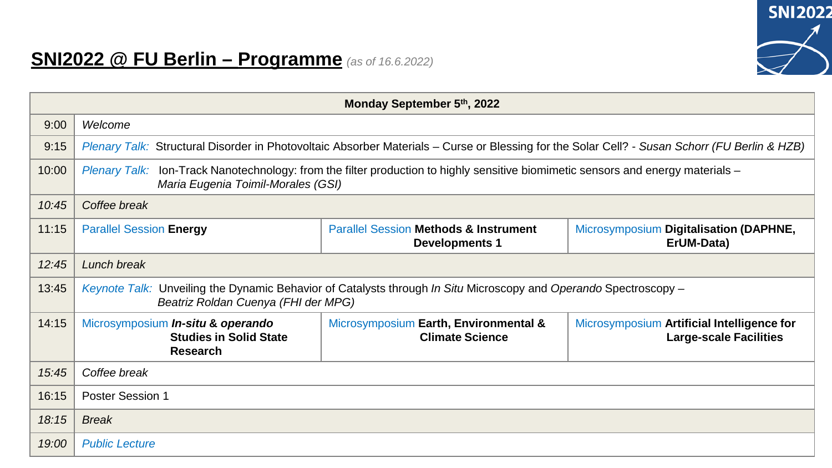

## **SNI2022 @ FU Berlin – Programme** *(as of 16.6.2022)*

| Monday September 5th, 2022 |                                                                                                                                                                                  |                                                                           |                                                                             |  |  |  |
|----------------------------|----------------------------------------------------------------------------------------------------------------------------------------------------------------------------------|---------------------------------------------------------------------------|-----------------------------------------------------------------------------|--|--|--|
| 9:00                       | Welcome                                                                                                                                                                          |                                                                           |                                                                             |  |  |  |
| 9:15                       | Plenary Talk: Structural Disorder in Photovoltaic Absorber Materials – Curse or Blessing for the Solar Cell? - Susan Schorr (FU Berlin & HZB)                                    |                                                                           |                                                                             |  |  |  |
| 10:00                      | Ion-Track Nanotechnology: from the filter production to highly sensitive biomimetic sensors and energy materials -<br><b>Plenary Talk:</b><br>Maria Eugenia Toimil-Morales (GSI) |                                                                           |                                                                             |  |  |  |
| 10:45                      | Coffee break                                                                                                                                                                     |                                                                           |                                                                             |  |  |  |
| 11:15                      | <b>Parallel Session Energy</b>                                                                                                                                                   | <b>Parallel Session Methods &amp; Instrument</b><br><b>Developments 1</b> | Microsymposium Digitalisation (DAPHNE,<br>ErUM-Data)                        |  |  |  |
| 12:45                      | Lunch break                                                                                                                                                                      |                                                                           |                                                                             |  |  |  |
| 13:45                      | Keynote Talk: Unveiling the Dynamic Behavior of Catalysts through In Situ Microscopy and Operando Spectroscopy -<br>Beatriz Roldan Cuenya (FHI der MPG)                          |                                                                           |                                                                             |  |  |  |
| 14:15                      | Microsymposium In-situ & operando<br><b>Studies in Solid State</b><br><b>Research</b>                                                                                            | Microsymposium Earth, Environmental &<br><b>Climate Science</b>           | Microsymposium Artificial Intelligence for<br><b>Large-scale Facilities</b> |  |  |  |
| 15:45                      | Coffee break                                                                                                                                                                     |                                                                           |                                                                             |  |  |  |
| 16:15                      | Poster Session 1                                                                                                                                                                 |                                                                           |                                                                             |  |  |  |
| 18:15                      | <b>Break</b>                                                                                                                                                                     |                                                                           |                                                                             |  |  |  |
| 19:00                      | <b>Public Lecture</b>                                                                                                                                                            |                                                                           |                                                                             |  |  |  |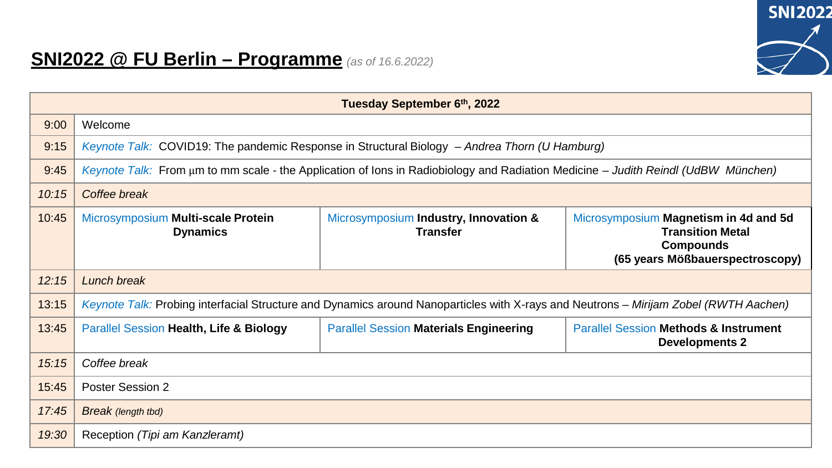

## **SNI2022 @ FU Berlin – Programme** *(as of 16.6.2022)*

| Tuesday September 6th, 2022 |                                                                                                                                      |                                                          |                                                                                                                         |  |  |  |
|-----------------------------|--------------------------------------------------------------------------------------------------------------------------------------|----------------------------------------------------------|-------------------------------------------------------------------------------------------------------------------------|--|--|--|
| 9:00                        | Welcome                                                                                                                              |                                                          |                                                                                                                         |  |  |  |
| 9:15                        | Keynote Talk: COVID19: The pandemic Response in Structural Biology – Andrea Thorn (U Hamburg)                                        |                                                          |                                                                                                                         |  |  |  |
| 9:45                        | Keynote Talk: From um to mm scale - the Application of lons in Radiobiology and Radiation Medicine – Judith Reindl (UdBW München)    |                                                          |                                                                                                                         |  |  |  |
| 10:15                       | Coffee break                                                                                                                         |                                                          |                                                                                                                         |  |  |  |
| 10:45                       | Microsymposium Multi-scale Protein<br><b>Dynamics</b>                                                                                | Microsymposium Industry, Innovation &<br><b>Transfer</b> | Microsymposium Magnetism in 4d and 5d<br><b>Transition Metal</b><br><b>Compounds</b><br>(65 years Mößbauerspectroscopy) |  |  |  |
| 12:15                       | Lunch break                                                                                                                          |                                                          |                                                                                                                         |  |  |  |
| 13:15                       | Keynote Talk: Probing interfacial Structure and Dynamics around Nanoparticles with X-rays and Neutrons – Mirijam Zobel (RWTH Aachen) |                                                          |                                                                                                                         |  |  |  |
| 13:45                       | <b>Parallel Session Health, Life &amp; Biology</b>                                                                                   | <b>Parallel Session Materials Engineering</b>            | <b>Parallel Session Methods &amp; Instrument</b><br><b>Developments 2</b>                                               |  |  |  |
| 15:15                       | Coffee break                                                                                                                         |                                                          |                                                                                                                         |  |  |  |
| 15:45                       | <b>Poster Session 2</b>                                                                                                              |                                                          |                                                                                                                         |  |  |  |
| 17:45                       | Break (length tbd)                                                                                                                   |                                                          |                                                                                                                         |  |  |  |
| 19:30                       | Reception (Tipi am Kanzleramt)                                                                                                       |                                                          |                                                                                                                         |  |  |  |